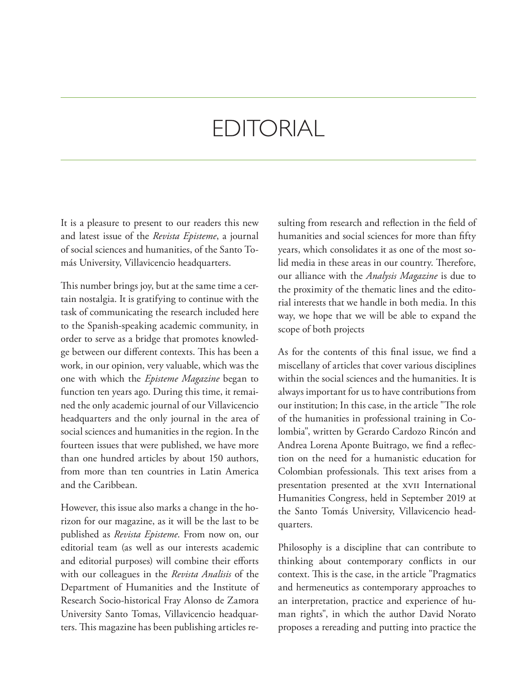## EDITORIAL

It is a pleasure to present to our readers this new and latest issue of the *Revista Episteme*, a journal of social sciences and humanities, of the Santo Tomás University, Villavicencio headquarters.

This number brings joy, but at the same time a certain nostalgia. It is gratifying to continue with the task of communicating the research included here to the Spanish-speaking academic community, in order to serve as a bridge that promotes knowledge between our different contexts. This has been a work, in our opinion, very valuable, which was the one with which the *Episteme Magazine* began to function ten years ago. During this time, it remained the only academic journal of our Villavicencio headquarters and the only journal in the area of social sciences and humanities in the region. In the fourteen issues that were published, we have more than one hundred articles by about 150 authors, from more than ten countries in Latin America and the Caribbean.

However, this issue also marks a change in the horizon for our magazine, as it will be the last to be published as *Revista Episteme*. From now on, our editorial team (as well as our interests academic and editorial purposes) will combine their efforts with our colleagues in the *Revista Analisis* of the Department of Humanities and the Institute of Research Socio-historical Fray Alonso de Zamora University Santo Tomas, Villavicencio headquarters. This magazine has been publishing articles resulting from research and reflection in the field of humanities and social sciences for more than fifty years, which consolidates it as one of the most solid media in these areas in our country. Therefore, our alliance with the *Analysis Magazine* is due to the proximity of the thematic lines and the editorial interests that we handle in both media. In this way, we hope that we will be able to expand the scope of both projects

As for the contents of this final issue, we find a miscellany of articles that cover various disciplines within the social sciences and the humanities. It is always important for us to have contributions from our institution; In this case, in the article "The role of the humanities in professional training in Colombia", written by Gerardo Cardozo Rincón and Andrea Lorena Aponte Buitrago, we find a reflection on the need for a humanistic education for Colombian professionals. This text arises from a presentation presented at the xvii International Humanities Congress, held in September 2019 at the Santo Tomás University, Villavicencio headquarters.

Philosophy is a discipline that can contribute to thinking about contemporary conflicts in our context. This is the case, in the article "Pragmatics and hermeneutics as contemporary approaches to an interpretation, practice and experience of human rights", in which the author David Norato proposes a rereading and putting into practice the